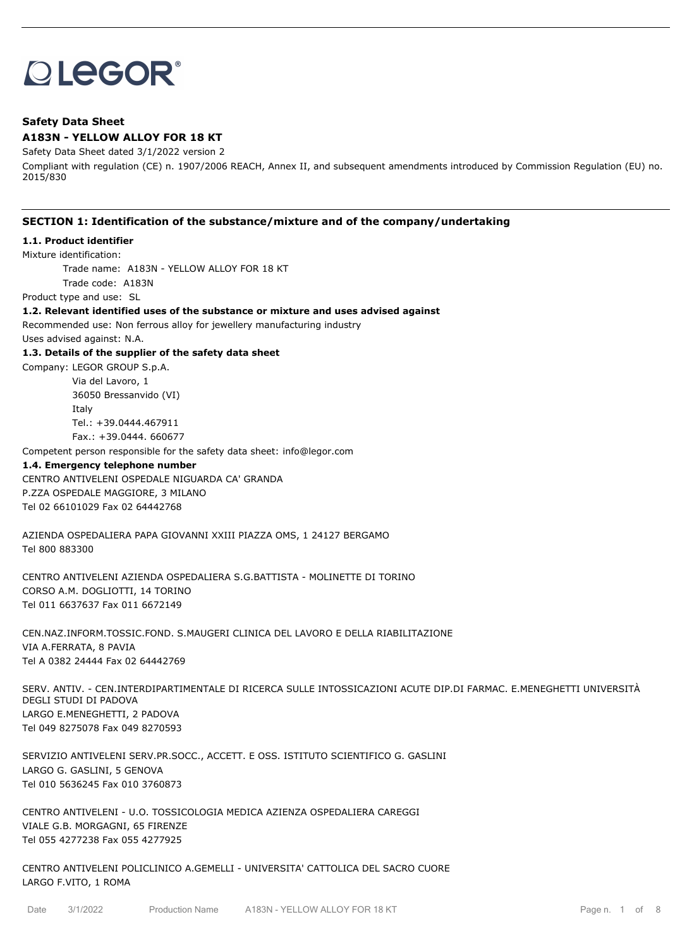# **OLEGOR®**

# **Safety Data Sheet A183N - YELLOW ALLOY FOR 18 KT**

Safety Data Sheet dated 3/1/2022 version 2

Compliant with regulation (CE) n. 1907/2006 REACH, Annex II, and subsequent amendments introduced by Commission Regulation (EU) no. 2015/830

# **SECTION 1: Identification of the substance/mixture and of the company/undertaking**

# **1.1. Product identifier**

Mixture identification:

Trade name: A183N - YELLOW ALLOY FOR 18 KT Trade code: A183N

Product type and use: SL

## **1.2. Relevant identified uses of the substance or mixture and uses advised against**

Recommended use: Non ferrous alloy for jewellery manufacturing industry

Uses advised against: N.A.

## **1.3. Details of the supplier of the safety data sheet**

Company: LEGOR GROUP S.p.A.

Via del Lavoro, 1 36050 Bressanvido (VI) Italy Tel.: +39.0444.467911 Fax.: +39.0444. 660677

Competent person responsible for the safety data sheet: info@legor.com

#### **1.4. Emergency telephone number**

CENTRO ANTIVELENI OSPEDALE NIGUARDA CA' GRANDA P.ZZA OSPEDALE MAGGIORE, 3 MILANO Tel 02 66101029 Fax 02 64442768

AZIENDA OSPEDALIERA PAPA GIOVANNI XXIII PIAZZA OMS, 1 24127 BERGAMO Tel 800 883300

CENTRO ANTIVELENI AZIENDA OSPEDALIERA S.G.BATTISTA - MOLINETTE DI TORINO CORSO A.M. DOGLIOTTI, 14 TORINO Tel 011 6637637 Fax 011 6672149

CEN.NAZ.INFORM.TOSSIC.FOND. S.MAUGERI CLINICA DEL LAVORO E DELLA RIABILITAZIONE VIA A.FERRATA, 8 PAVIA Tel A 0382 24444 Fax 02 64442769

SERV. ANTIV. - CEN.INTERDIPARTIMENTALE DI RICERCA SULLE INTOSSICAZIONI ACUTE DIP.DI FARMAC. E.MENEGHETTI UNIVERSITÀ DEGLI STUDI DI PADOVA LARGO E.MENEGHETTI, 2 PADOVA Tel 049 8275078 Fax 049 8270593

SERVIZIO ANTIVELENI SERV.PR.SOCC., ACCETT. E OSS. ISTITUTO SCIENTIFICO G. GASLINI LARGO G. GASLINI, 5 GENOVA Tel 010 5636245 Fax 010 3760873

CENTRO ANTIVELENI - U.O. TOSSICOLOGIA MEDICA AZIENZA OSPEDALIERA CAREGGI VIALE G.B. MORGAGNI, 65 FIRENZE Tel 055 4277238 Fax 055 4277925

CENTRO ANTIVELENI POLICLINICO A.GEMELLI - UNIVERSITA' CATTOLICA DEL SACRO CUORE LARGO F.VITO, 1 ROMA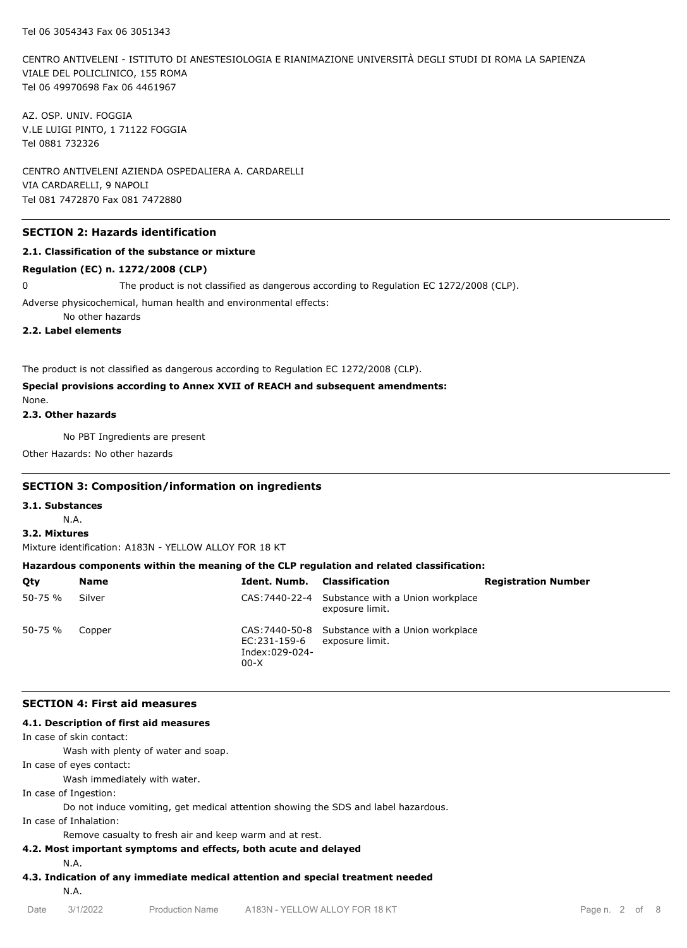CENTRO ANTIVELENI - ISTITUTO DI ANESTESIOLOGIA E RIANIMAZIONE UNIVERSITÀ DEGLI STUDI DI ROMA LA SAPIENZA VIALE DEL POLICLINICO, 155 ROMA Tel 06 49970698 Fax 06 4461967

AZ. OSP. UNIV. FOGGIA V.LE LUIGI PINTO, 1 71122 FOGGIA Tel 0881 732326

CENTRO ANTIVELENI AZIENDA OSPEDALIERA A. CARDARELLI VIA CARDARELLI, 9 NAPOLI Tel 081 7472870 Fax 081 7472880

#### **SECTION 2: Hazards identification**

#### **2.1. Classification of the substance or mixture**

## **Regulation (EC) n. 1272/2008 (CLP)**

0 The product is not classified as dangerous according to Regulation EC 1272/2008 (CLP).

Adverse physicochemical, human health and environmental effects:

No other hazards

**2.2. Label elements**

The product is not classified as dangerous according to Regulation EC 1272/2008 (CLP).

#### **Special provisions according to Annex XVII of REACH and subsequent amendments:**

None.

## **2.3. Other hazards**

No PBT Ingredients are present

Other Hazards: No other hazards

## **SECTION 3: Composition/information on ingredients**

## **3.1. Substances**

N.A.

#### **3.2. Mixtures**

Mixture identification: A183N - YELLOW ALLOY FOR 18 KT

#### **Hazardous components within the meaning of the CLP regulation and related classification:**

| Qty         | Name   | Ident. Numb.                                             | Classification                                                     | <b>Registration Number</b> |
|-------------|--------|----------------------------------------------------------|--------------------------------------------------------------------|----------------------------|
| $50 - 75 %$ | Silver |                                                          | CAS: 7440-22-4 Substance with a Union workplace<br>exposure limit. |                            |
| $50 - 75 %$ | Copper | EC:231-159-6 exposure limit.<br>Index:029-024-<br>$00-X$ | CAS: 7440-50-8 Substance with a Union workplace                    |                            |

#### **SECTION 4: First aid measures**

#### **4.1. Description of first aid measures**

In case of skin contact:

Wash with plenty of water and soap.

In case of eyes contact:

Wash immediately with water.

In case of Ingestion:

Do not induce vomiting, get medical attention showing the SDS and label hazardous.

In case of Inhalation:

Remove casualty to fresh air and keep warm and at rest.

#### **4.2. Most important symptoms and effects, both acute and delayed**

N.A.

**4.3. Indication of any immediate medical attention and special treatment needed**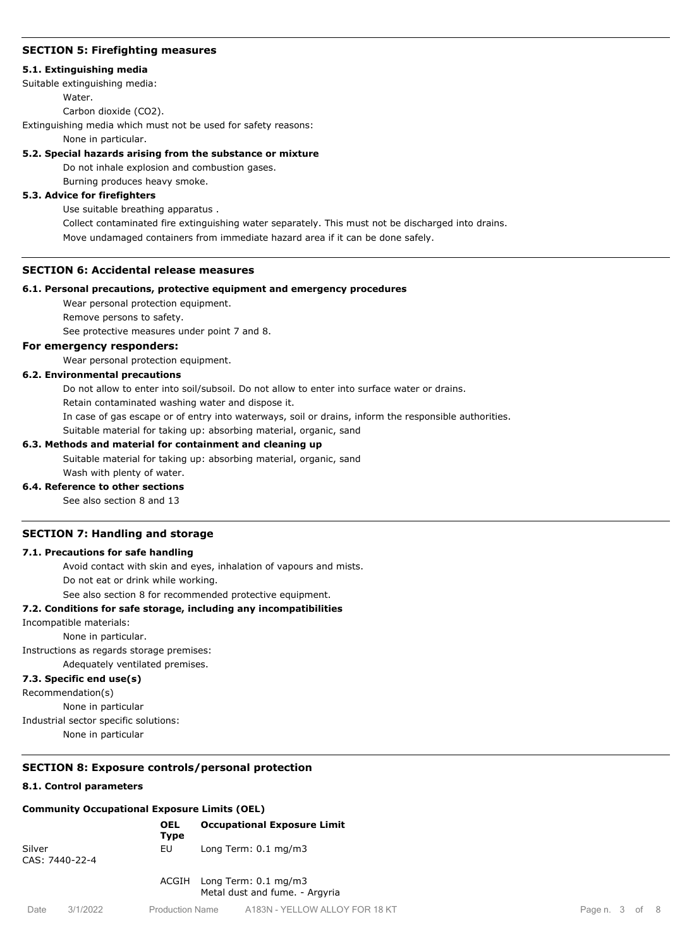# **SECTION 5: Firefighting measures**

### **5.1. Extinguishing media**

Suitable extinguishing media:

**Water** 

Carbon dioxide (CO2).

Extinguishing media which must not be used for safety reasons:

None in particular.

# **5.2. Special hazards arising from the substance or mixture**

Do not inhale explosion and combustion gases.

Burning produces heavy smoke.

# **5.3. Advice for firefighters**

Use suitable breathing apparatus .

Collect contaminated fire extinguishing water separately. This must not be discharged into drains. Move undamaged containers from immediate hazard area if it can be done safely.

# **SECTION 6: Accidental release measures**

## **6.1. Personal precautions, protective equipment and emergency procedures**

Wear personal protection equipment.

Remove persons to safety.

See protective measures under point 7 and 8.

# **For emergency responders:**

Wear personal protection equipment.

# **6.2. Environmental precautions**

Do not allow to enter into soil/subsoil. Do not allow to enter into surface water or drains.

Retain contaminated washing water and dispose it.

In case of gas escape or of entry into waterways, soil or drains, inform the responsible authorities.

Suitable material for taking up: absorbing material, organic, sand

## **6.3. Methods and material for containment and cleaning up**

Suitable material for taking up: absorbing material, organic, sand

# Wash with plenty of water.

**6.4. Reference to other sections** See also section 8 and 13

# **SECTION 7: Handling and storage**

## **7.1. Precautions for safe handling**

Avoid contact with skin and eyes, inhalation of vapours and mists. Do not eat or drink while working.

See also section 8 for recommended protective equipment.

# **7.2. Conditions for safe storage, including any incompatibilities**

#### Incompatible materials:

None in particular.

Instructions as regards storage premises:

Adequately ventilated premises.

# **7.3. Specific end use(s)**

Recommendation(s)

None in particular

Industrial sector specific solutions:

None in particular

# **SECTION 8: Exposure controls/personal protection**

## **8.1. Control parameters**

# **Community Occupational Exposure Limits (OEL)**

|                          |          | <b>OEL</b><br><b>Type</b> |                                 | <b>Occupational Exposure Limit</b>                           |
|--------------------------|----------|---------------------------|---------------------------------|--------------------------------------------------------------|
| Silver<br>CAS: 7440-22-4 |          | EU                        | Long Term: $0.1 \text{ mg/m}$ 3 |                                                              |
|                          |          |                           |                                 | ACGIH Long Term: 0.1 mg/m3<br>Metal dust and fume. - Argyria |
| Date                     | 3/1/2022 | <b>Production Name</b>    |                                 | A183N - YELLOW ALLOY FOR 18                                  |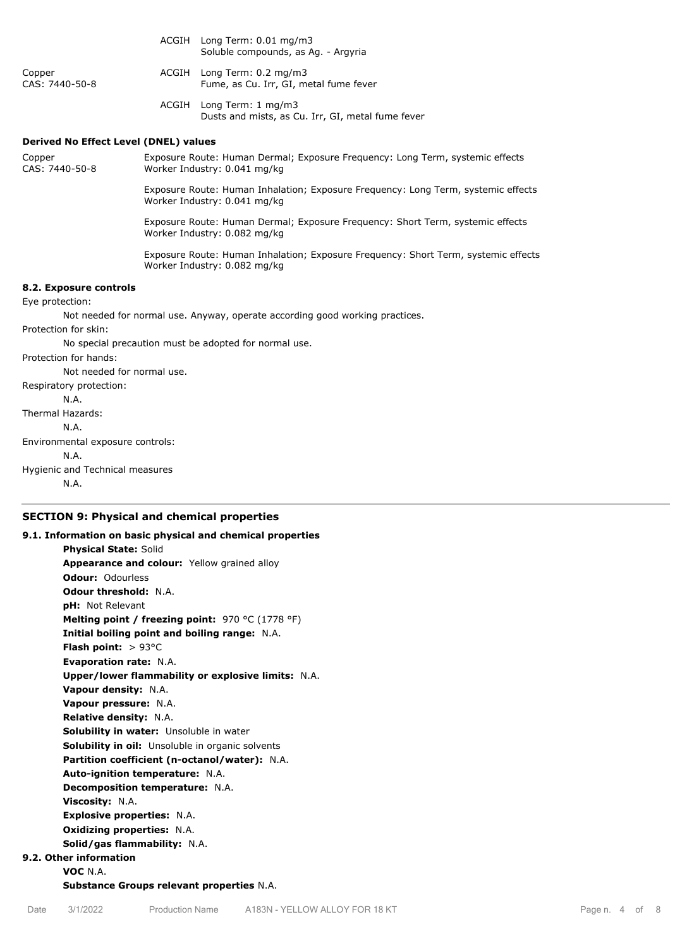|                                                                              |                                                                                                                   | ACGIH Long Term: 0.01 mg/m3<br>Soluble compounds, as Ag. - Argyria                                                 |  |  |  |
|------------------------------------------------------------------------------|-------------------------------------------------------------------------------------------------------------------|--------------------------------------------------------------------------------------------------------------------|--|--|--|
| Copper<br>CAS: 7440-50-8                                                     |                                                                                                                   | ACGIH Long Term: 0.2 mg/m3<br>Fume, as Cu. Irr, GI, metal fume fever                                               |  |  |  |
|                                                                              |                                                                                                                   | ACGIH Long Term: 1 mg/m3<br>Dusts and mists, as Cu. Irr, GI, metal fume fever                                      |  |  |  |
| <b>Derived No Effect Level (DNEL) values</b>                                 |                                                                                                                   |                                                                                                                    |  |  |  |
| Copper<br>CAS: 7440-50-8                                                     |                                                                                                                   | Exposure Route: Human Dermal; Exposure Frequency: Long Term, systemic effects<br>Worker Industry: 0.041 mg/kg      |  |  |  |
|                                                                              | Exposure Route: Human Inhalation; Exposure Frequency: Long Term, systemic effects<br>Worker Industry: 0.041 mg/kg |                                                                                                                    |  |  |  |
|                                                                              |                                                                                                                   | Exposure Route: Human Dermal; Exposure Frequency: Short Term, systemic effects<br>Worker Industry: 0.082 mg/kg     |  |  |  |
|                                                                              |                                                                                                                   | Exposure Route: Human Inhalation; Exposure Frequency: Short Term, systemic effects<br>Worker Industry: 0.082 mg/kg |  |  |  |
| 8.2. Exposure controls                                                       |                                                                                                                   |                                                                                                                    |  |  |  |
| Eye protection:                                                              |                                                                                                                   |                                                                                                                    |  |  |  |
| Not needed for normal use. Anyway, operate according good working practices. |                                                                                                                   |                                                                                                                    |  |  |  |
| Protection for skin:                                                         |                                                                                                                   |                                                                                                                    |  |  |  |
|                                                                              |                                                                                                                   | No special precaution must be adopted for normal use.                                                              |  |  |  |
| Protection for hands:                                                        |                                                                                                                   |                                                                                                                    |  |  |  |
| Not needed for normal use.                                                   |                                                                                                                   |                                                                                                                    |  |  |  |
| Respiratory protection:                                                      |                                                                                                                   |                                                                                                                    |  |  |  |
| N.A.                                                                         |                                                                                                                   |                                                                                                                    |  |  |  |
| Thermal Hazards:                                                             |                                                                                                                   |                                                                                                                    |  |  |  |
| N.A.                                                                         |                                                                                                                   |                                                                                                                    |  |  |  |
| Environmental exposure controls:                                             |                                                                                                                   |                                                                                                                    |  |  |  |
| N.A.<br>.                                                                    |                                                                                                                   |                                                                                                                    |  |  |  |
|                                                                              |                                                                                                                   |                                                                                                                    |  |  |  |

Hygienic and Technical measures N.A.

# **SECTION 9: Physical and chemical properties**

**9.1. Information on basic physical and chemical properties Physical State:** Solid **Appearance and colour:** Yellow grained alloy **Odour:** Odourless **Odour threshold:** N.A. **pH:** Not Relevant **Melting point / freezing point:** 970 °C (1778 °F) **Initial boiling point and boiling range:** N.A. **Flash point:** > 93°C **Evaporation rate:** N.A. **Upper/lower flammability or explosive limits:** N.A. **Vapour density:** N.A. **Vapour pressure:** N.A. **Relative density:** N.A. **Solubility in water:** Unsoluble in water **Solubility in oil:** Unsoluble in organic solvents **Partition coefficient (n-octanol/water):** N.A. **Auto-ignition temperature:** N.A. **Decomposition temperature:** N.A. **Viscosity:** N.A. **Explosive properties:** N.A. **Oxidizing properties:** N.A. **Solid/gas flammability:** N.A. **9.2. Other information VOC** N.A.

**Substance Groups relevant properties** N.A.

Date 3/1/2022 Production Name A183N - YELLOW ALLOY FOR 18 KT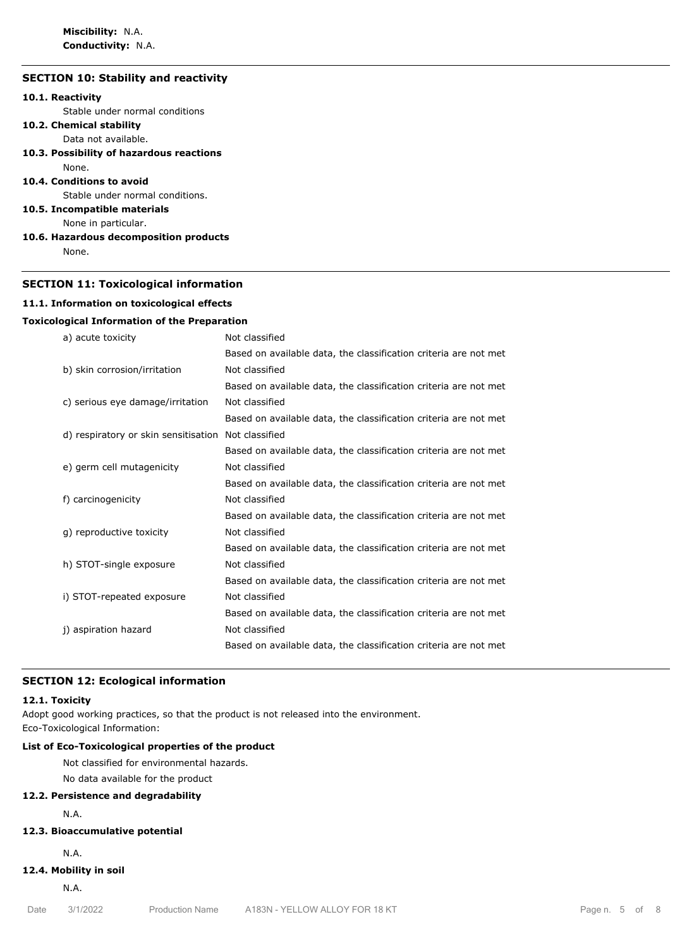**Miscibility:** N.A. **Conductivity:** N.A.

# **SECTION 10: Stability and reactivity**

# **10.1. Reactivity**

Stable under normal conditions

- **10.2. Chemical stability**
	- Data not available.
- **10.3. Possibility of hazardous reactions**

#### None. **10.4. Conditions to avoid**

Stable under normal conditions.

#### **10.5. Incompatible materials**

None in particular.

#### **10.6. Hazardous decomposition products**

None.

#### **SECTION 11: Toxicological information**

#### **11.1. Information on toxicological effects**

#### **Toxicological Information of the Preparation**

| a) acute toxicity                    | Not classified                                                   |
|--------------------------------------|------------------------------------------------------------------|
|                                      | Based on available data, the classification criteria are not met |
| b) skin corrosion/irritation         | Not classified                                                   |
|                                      | Based on available data, the classification criteria are not met |
| c) serious eye damage/irritation     | Not classified                                                   |
|                                      | Based on available data, the classification criteria are not met |
| d) respiratory or skin sensitisation | Not classified                                                   |
|                                      | Based on available data, the classification criteria are not met |
| e) germ cell mutagenicity            | Not classified                                                   |
|                                      | Based on available data, the classification criteria are not met |
| f) carcinogenicity                   | Not classified                                                   |
|                                      | Based on available data, the classification criteria are not met |
| g) reproductive toxicity             | Not classified                                                   |
|                                      | Based on available data, the classification criteria are not met |
| h) STOT-single exposure              | Not classified                                                   |
|                                      | Based on available data, the classification criteria are not met |
| i) STOT-repeated exposure            | Not classified                                                   |
|                                      | Based on available data, the classification criteria are not met |
| j) aspiration hazard                 | Not classified                                                   |
|                                      | Based on available data, the classification criteria are not met |
|                                      |                                                                  |

#### **SECTION 12: Ecological information**

#### **12.1. Toxicity**

Adopt good working practices, so that the product is not released into the environment. Eco-Toxicological Information:

# **List of Eco-Toxicological properties of the product**

Not classified for environmental hazards.

No data available for the product

# **12.2. Persistence and degradability**

N.A.

# **12.3. Bioaccumulative potential**

N.A.

# **12.4. Mobility in soil**

N.A.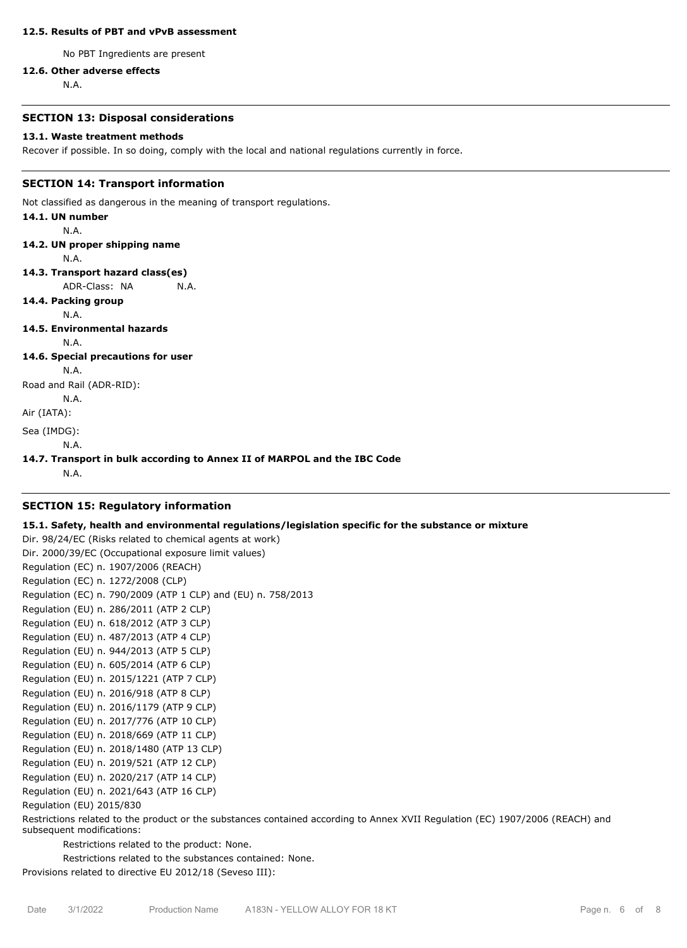#### **12.5. Results of PBT and vPvB assessment**

No PBT Ingredients are present

## **12.6. Other adverse effects**

N.A.

## **SECTION 13: Disposal considerations**

#### **13.1. Waste treatment methods**

Recover if possible. In so doing, comply with the local and national regulations currently in force.

#### **SECTION 14: Transport information**

Not classified as dangerous in the meaning of transport regulations.

**14.1. UN number** N.A. **14.2. UN proper shipping name** N.A. **14.3. Transport hazard class(es)** ADR-Class: NA N.A. **14.4. Packing group** N.A. **14.5. Environmental hazards** N.A. **14.6. Special precautions for user** N.A. Road and Rail (ADR-RID): N.A.

Air (IATA):

Sea (IMDG):

N.A.

#### **14.7. Transport in bulk according to Annex II of MARPOL and the IBC Code**

N.A.

#### **SECTION 15: Regulatory information**

#### **15.1. Safety, health and environmental regulations/legislation specific for the substance or mixture**

Dir. 98/24/EC (Risks related to chemical agents at work) Dir. 2000/39/EC (Occupational exposure limit values) Regulation (EC) n. 1907/2006 (REACH) Regulation (EC) n. 1272/2008 (CLP) Regulation (EC) n. 790/2009 (ATP 1 CLP) and (EU) n. 758/2013 Regulation (EU) n. 286/2011 (ATP 2 CLP) Regulation (EU) n. 618/2012 (ATP 3 CLP) Regulation (EU) n. 487/2013 (ATP 4 CLP) Regulation (EU) n. 944/2013 (ATP 5 CLP) Regulation (EU) n. 605/2014 (ATP 6 CLP) Regulation (EU) n. 2015/1221 (ATP 7 CLP) Regulation (EU) n. 2016/918 (ATP 8 CLP) Regulation (EU) n. 2016/1179 (ATP 9 CLP) Regulation (EU) n. 2017/776 (ATP 10 CLP) Regulation (EU) n. 2018/669 (ATP 11 CLP) Regulation (EU) n. 2018/1480 (ATP 13 CLP) Regulation (EU) n. 2019/521 (ATP 12 CLP) Regulation (EU) n. 2020/217 (ATP 14 CLP) Regulation (EU) n. 2021/643 (ATP 16 CLP) Regulation (EU) 2015/830

Restrictions related to the product or the substances contained according to Annex XVII Regulation (EC) 1907/2006 (REACH) and subsequent modifications:

Restrictions related to the product: None.

Restrictions related to the substances contained: None.

Provisions related to directive EU 2012/18 (Seveso III):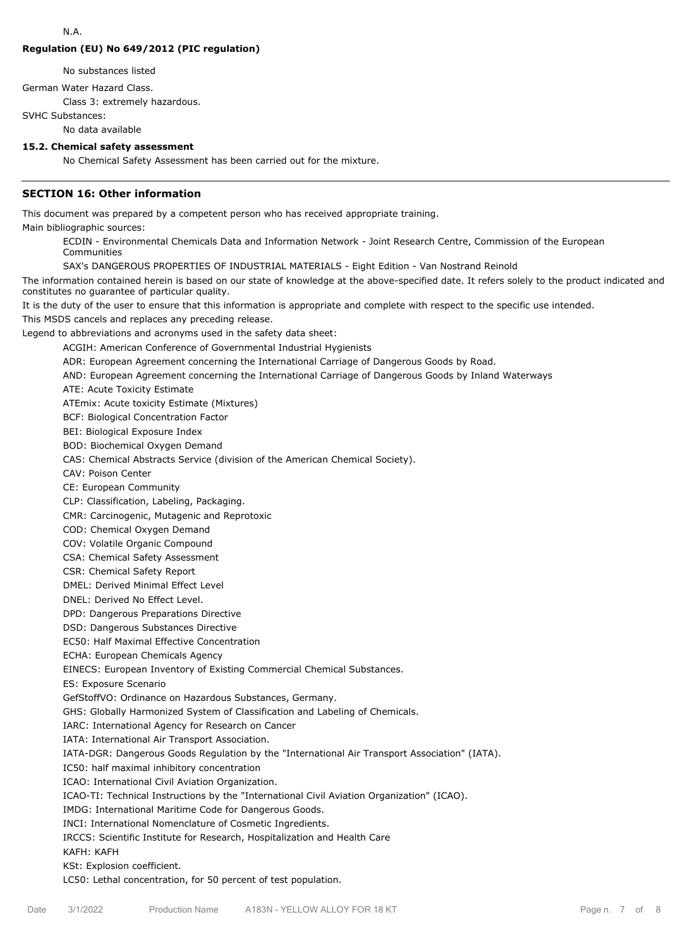# **Regulation (EU) No 649/2012 (PIC regulation)**

No substances listed

German Water Hazard Class.

Class 3: extremely hazardous.

SVHC Substances:

No data available

# **15.2. Chemical safety assessment**

No Chemical Safety Assessment has been carried out for the mixture.

# **SECTION 16: Other information**

This document was prepared by a competent person who has received appropriate training.

Main bibliographic sources:

ECDIN - Environmental Chemicals Data and Information Network - Joint Research Centre, Commission of the European Communities

SAX's DANGEROUS PROPERTIES OF INDUSTRIAL MATERIALS - Eight Edition - Van Nostrand Reinold

The information contained herein is based on our state of knowledge at the above-specified date. It refers solely to the product indicated and constitutes no guarantee of particular quality.

It is the duty of the user to ensure that this information is appropriate and complete with respect to the specific use intended.

This MSDS cancels and replaces any preceding release.

Legend to abbreviations and acronyms used in the safety data sheet:

ACGIH: American Conference of Governmental Industrial Hygienists

ADR: European Agreement concerning the International Carriage of Dangerous Goods by Road.

AND: European Agreement concerning the International Carriage of Dangerous Goods by Inland Waterways

ATE: Acute Toxicity Estimate

ATEmix: Acute toxicity Estimate (Mixtures)

BCF: Biological Concentration Factor

BEI: Biological Exposure Index

BOD: Biochemical Oxygen Demand

CAS: Chemical Abstracts Service (division of the American Chemical Society).

CAV: Poison Center

CE: European Community

CLP: Classification, Labeling, Packaging.

CMR: Carcinogenic, Mutagenic and Reprotoxic

COD: Chemical Oxygen Demand

COV: Volatile Organic Compound

CSA: Chemical Safety Assessment

CSR: Chemical Safety Report

DMEL: Derived Minimal Effect Level

DNEL: Derived No Effect Level.

DPD: Dangerous Preparations Directive

DSD: Dangerous Substances Directive

EC50: Half Maximal Effective Concentration

ECHA: European Chemicals Agency

EINECS: European Inventory of Existing Commercial Chemical Substances.

ES: Exposure Scenario

GefStoffVO: Ordinance on Hazardous Substances, Germany.

GHS: Globally Harmonized System of Classification and Labeling of Chemicals.

IARC: International Agency for Research on Cancer

IATA: International Air Transport Association.

IATA-DGR: Dangerous Goods Regulation by the "International Air Transport Association" (IATA).

IC50: half maximal inhibitory concentration

ICAO: International Civil Aviation Organization.

ICAO-TI: Technical Instructions by the "International Civil Aviation Organization" (ICAO).

IMDG: International Maritime Code for Dangerous Goods.

INCI: International Nomenclature of Cosmetic Ingredients.

IRCCS: Scientific Institute for Research, Hospitalization and Health Care

KAFH: KAFH

#### KSt: Explosion coefficient.

LC50: Lethal concentration, for 50 percent of test population.